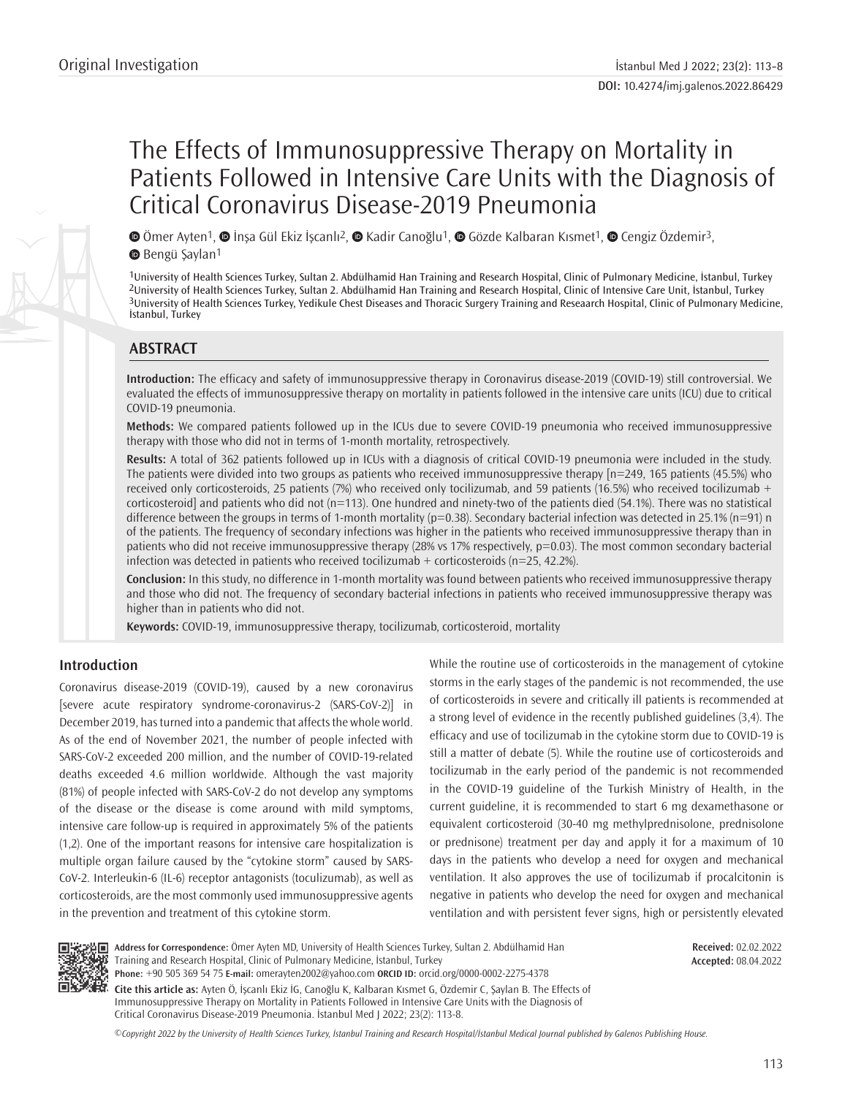# The Effects of Immunosuppressive Therapy on Mortality in Patients Followed in Intensive Care Units with the Diagnosis of Critical Coronavirus Disease-2019 Pneumonia

 $\bullet$ Ömer Ayten1,  $\bullet$  İnsa Gül Ekiz İscanlı<sup>2</sup>,  $\bullet$  Kadir Canoğlu1,  $\bullet$  Gözde Kalbaran Kısmet1,  $\bullet$  Cengiz Özdemir<sup>3</sup>, **B**Bengü Savlan<sup>1</sup>

University of Health Sciences Turkey, Sultan 2. Abdülhamid Han Training and Research Hospital, Clinic of Pulmonary Medicine, İstanbul, Turkey University of Health Sciences Turkey, Sultan 2. Abdülhamid Han Training and Research Hospital, Clinic of Intensive Care Unit, İstanbul, Turkey University of Health Sciences Turkey, Yedikule Chest Diseases and Thoracic Surgery Training and Reseaarch Hospital, Clinic of Pulmonary Medicine, İstanbul, Turkey

# **ABSTRACT**

**Introduction:** The efficacy and safety of immunosuppressive therapy in Coronavirus disease-2019 (COVID-19) still controversial. We evaluated the effects of immunosuppressive therapy on mortality in patients followed in the intensive care units (ICU) due to critical COVID-19 pneumonia.

**Methods:** We compared patients followed up in the ICUs due to severe COVID-19 pneumonia who received immunosuppressive therapy with those who did not in terms of 1-month mortality, retrospectively.

**Results:** A total of 362 patients followed up in ICUs with a diagnosis of critical COVID-19 pneumonia were included in the study. The patients were divided into two groups as patients who received immunosuppressive therapy [n=249, 165 patients (45.5%) who received only corticosteroids, 25 patients (7%) who received only tocilizumab, and 59 patients (16.5%) who received tocilizumab + corticosteroid] and patients who did not (n=113). One hundred and ninety-two of the patients died (54.1%). There was no statistical difference between the groups in terms of 1-month mortality ( $p=0.38$ ). Secondary bacterial infection was detected in 25.1% ( $n=91$ ) n of the patients. The frequency of secondary infections was higher in the patients who received immunosuppressive therapy than in patients who did not receive immunosuppressive therapy (28% vs 17% respectively, p=0.03). The most common secondary bacterial infection was detected in patients who received tocilizumab + corticosteroids ( $n=25$ , 42.2%).

**Conclusion:** In this study, no difference in 1-month mortality was found between patients who received immunosuppressive therapy and those who did not. The frequency of secondary bacterial infections in patients who received immunosuppressive therapy was higher than in patients who did not.

**Keywords:** COVID-19, immunosuppressive therapy, tocilizumab, corticosteroid, mortality

# **Introduction**

Coronavirus disease-2019 (COVID-19), caused by a new coronavirus [severe acute respiratory syndrome-coronavirus-2 (SARS-CoV-2)] in December 2019, has turned into a pandemic that affects the whole world. As of the end of November 2021, the number of people infected with SARS-CoV-2 exceeded 200 million, and the number of COVID-19-related deaths exceeded 4.6 million worldwide. Although the vast majority (81%) of people infected with SARS-CoV-2 do not develop any symptoms of the disease or the disease is come around with mild symptoms, intensive care follow-up is required in approximately 5% of the patients (1,2). One of the important reasons for intensive care hospitalization is multiple organ failure caused by the "cytokine storm" caused by SARS-CoV-2. Interleukin-6 (IL-6) receptor antagonists (toculizumab), as well as corticosteroids, are the most commonly used immunosuppressive agents in the prevention and treatment of this cytokine storm.

While the routine use of corticosteroids in the management of cytokine storms in the early stages of the pandemic is not recommended, the use of corticosteroids in severe and critically ill patients is recommended at a strong level of evidence in the recently published guidelines (3,4). The efficacy and use of tocilizumab in the cytokine storm due to COVID-19 is still a matter of debate (5). While the routine use of corticosteroids and tocilizumab in the early period of the pandemic is not recommended in the COVID-19 guideline of the Turkish Ministry of Health, in the current guideline, it is recommended to start 6 mg dexamethasone or equivalent corticosteroid (30-40 mg methylprednisolone, prednisolone or prednisone) treatment per day and apply it for a maximum of 10 days in the patients who develop a need for oxygen and mechanical ventilation. It also approves the use of tocilizumab if procalcitonin is negative in patients who develop the need for oxygen and mechanical ventilation and with persistent fever signs, high or persistently elevated



**Address for Correspondence:** Ömer Ayten MD, University of Health Sciences Turkey, Sultan 2. Abdülhamid Han Training and Research Hospital, Clinic of Pulmonary Medicine, İstanbul, Turkey **Phone:** +90 505 369 54 75 **E-mail:** omerayten2002@yahoo.com **ORCID ID:** orcid.org/0000-0002-2275-4378

**Received:** 02.02.2022 **Accepted:** 08.04.2022

**Cite this article as:** Ayten Ö, İşcanlı Ekiz İG, Canoğlu K, Kalbaran Kısmet G, Özdemir C, Şaylan B. The Effects of Immunosuppressive Therapy on Mortality in Patients Followed in Intensive Care Units with the Diagnosis of Critical Coronavirus Disease-2019 Pneumonia. İstanbul Med J 2022; 23(2): 113-8.

*©*Copyright 2022 by the University of Health Sciences Turkey, İstanbul Training and Research Hospital/İstanbul Medical Journal published by Galenos Publishing House.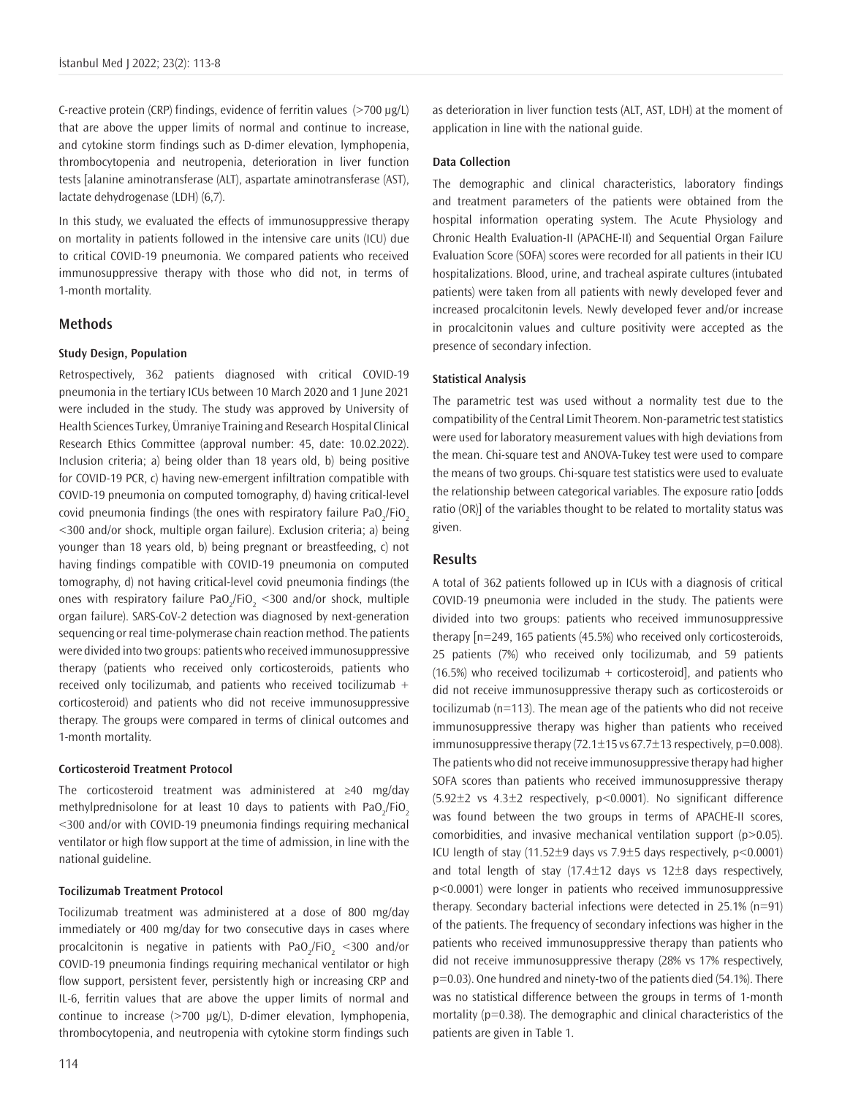C-reactive protein (CRP) findings, evidence of ferritin values (>700 μg/L) that are above the upper limits of normal and continue to increase, and cytokine storm findings such as D-dimer elevation, lymphopenia, thrombocytopenia and neutropenia, deterioration in liver function tests [alanine aminotransferase (ALT), aspartate aminotransferase (AST), lactate dehydrogenase (LDH) (6,7).

In this study, we evaluated the effects of immunosuppressive therapy on mortality in patients followed in the intensive care units (ICU) due to critical COVID-19 pneumonia. We compared patients who received immunosuppressive therapy with those who did not, in terms of 1-month mortality.

## **Methods**

#### **Study Design, Population**

Retrospectively, 362 patients diagnosed with critical COVID-19 pneumonia in the tertiary ICUs between 10 March 2020 and 1 June 2021 were included in the study. The study was approved by University of Health Sciences Turkey, Ümraniye Training and Research Hospital Clinical Research Ethics Committee (approval number: 45, date: 10.02.2022). Inclusion criteria; a) being older than 18 years old, b) being positive for COVID-19 PCR, c) having new-emergent infiltration compatible with COVID-19 pneumonia on computed tomography, d) having critical-level covid pneumonia findings (the ones with respiratory failure PaO<sub>2</sub>/FiO<sub>2</sub> <300 and/or shock, multiple organ failure). Exclusion criteria; a) being younger than 18 years old, b) being pregnant or breastfeeding, c) not having findings compatible with COVID-19 pneumonia on computed tomography, d) not having critical-level covid pneumonia findings (the ones with respiratory failure PaO<sub>2</sub>/FiO<sub>2</sub> <300 and/or shock, multiple organ failure). SARS-CoV-2 detection was diagnosed by next-generation sequencing or real time-polymerase chain reaction method. The patients were divided into two groups: patients who received immunosuppressive therapy (patients who received only corticosteroids, patients who received only tocilizumab, and patients who received tocilizumab + corticosteroid) and patients who did not receive immunosuppressive therapy. The groups were compared in terms of clinical outcomes and 1-month mortality.

#### **Corticosteroid Treatment Protocol**

The corticosteroid treatment was administered at ≥40 mg/day methylprednisolone for at least 10 days to patients with PaO<sub>2</sub>/FiO<sub>2</sub> <300 and/or with COVID-19 pneumonia findings requiring mechanical ventilator or high flow support at the time of admission, in line with the national guideline.

#### **Tocilizumab Treatment Protocol**

Tocilizumab treatment was administered at a dose of 800 mg/day immediately or 400 mg/day for two consecutive days in cases where procalcitonin is negative in patients with PaO<sub>2</sub>/FiO<sub>2</sub> <300 and/or COVID-19 pneumonia findings requiring mechanical ventilator or high flow support, persistent fever, persistently high or increasing CRP and IL-6, ferritin values that are above the upper limits of normal and continue to increase (>700 μg/L), D-dimer elevation, lymphopenia, thrombocytopenia, and neutropenia with cytokine storm findings such

as deterioration in liver function tests (ALT, AST, LDH) at the moment of application in line with the national guide.

#### **Data Collection**

The demographic and clinical characteristics, laboratory findings and treatment parameters of the patients were obtained from the hospital information operating system. The Acute Physiology and Chronic Health Evaluation-II (APACHE-II) and Sequential Organ Failure Evaluation Score (SOFA) scores were recorded for all patients in their ICU hospitalizations. Blood, urine, and tracheal aspirate cultures (intubated patients) were taken from all patients with newly developed fever and increased procalcitonin levels. Newly developed fever and/or increase in procalcitonin values and culture positivity were accepted as the presence of secondary infection.

## **Statistical Analysis**

The parametric test was used without a normality test due to the compatibility of the Central Limit Theorem. Non-parametric test statistics were used for laboratory measurement values with high deviations from the mean. Chi-square test and ANOVA-Tukey test were used to compare the means of two groups. Chi-square test statistics were used to evaluate the relationship between categorical variables. The exposure ratio [odds ratio (OR)] of the variables thought to be related to mortality status was given.

# **Results**

A total of 362 patients followed up in ICUs with a diagnosis of critical COVID-19 pneumonia were included in the study. The patients were divided into two groups: patients who received immunosuppressive therapy [n=249, 165 patients (45.5%) who received only corticosteroids, 25 patients (7%) who received only tocilizumab, and 59 patients  $(16.5%)$  who received tocilizumab + corticosteroid], and patients who did not receive immunosuppressive therapy such as corticosteroids or tocilizumab (n=113). The mean age of the patients who did not receive immunosuppressive therapy was higher than patients who received immunosuppressive therapy  $(72.1 \pm 15 \text{ vs } 67.7 \pm 13 \text{ respectively}, \text{p=0.008}).$ The patients who did not receive immunosuppressive therapy had higher SOFA scores than patients who received immunosuppressive therapy (5.92±2 vs 4.3±2 respectively, p<0.0001). No significant difference was found between the two groups in terms of APACHE-II scores, comorbidities, and invasive mechanical ventilation support (p>0.05). ICU length of stay (11.52 $\pm$ 9 days vs 7.9 $\pm$ 5 days respectively, p<0.0001) and total length of stay (17.4 $\pm$ 12 days vs 12 $\pm$ 8 days respectively, p<0.0001) were longer in patients who received immunosuppressive therapy. Secondary bacterial infections were detected in 25.1% (n=91) of the patients. The frequency of secondary infections was higher in the patients who received immunosuppressive therapy than patients who did not receive immunosuppressive therapy (28% vs 17% respectively, p=0.03). One hundred and ninety-two of the patients died (54.1%). There was no statistical difference between the groups in terms of 1-month mortality ( $p=0.38$ ). The demographic and clinical characteristics of the patients are given in Table 1.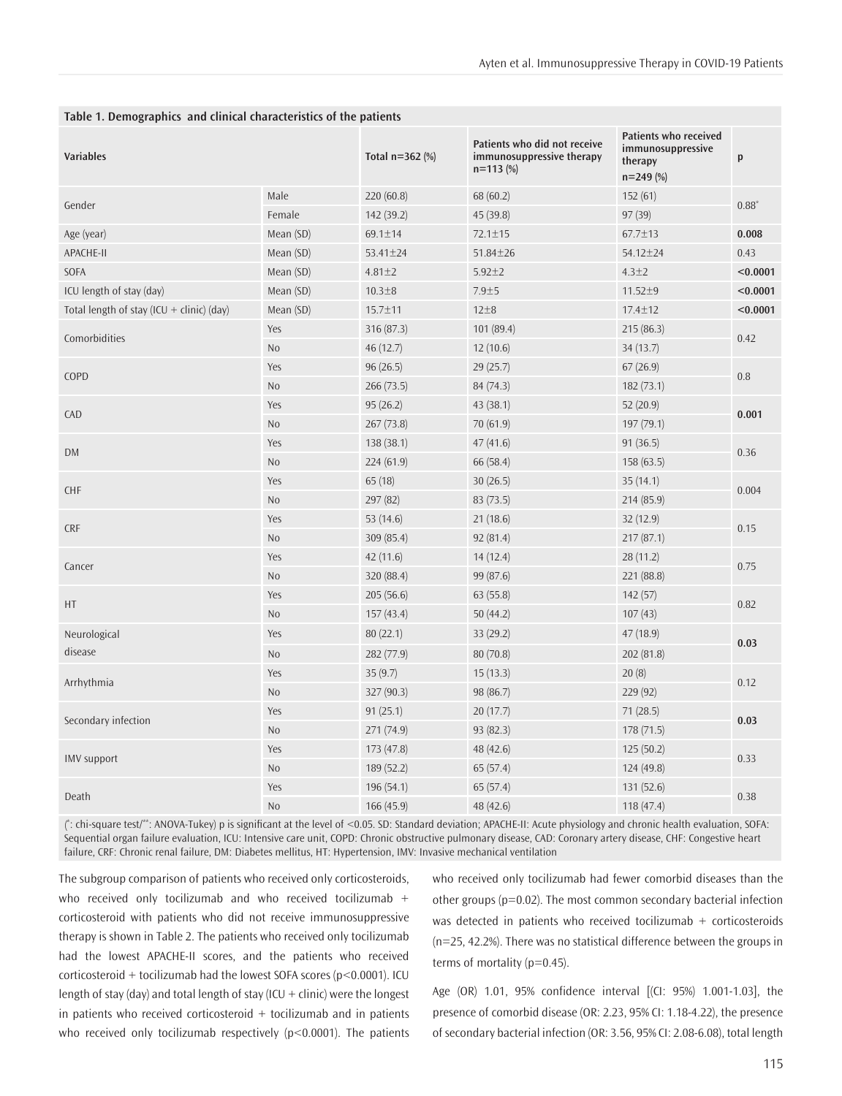| <b>Variables</b>                          |                | Total $n=362$ (%) | Patients who did not receive<br>immunosuppressive therapy<br>$n = 113$ (%) | Patients who received<br>immunosuppressive<br>therapy<br>$n=249(%)$ | p        |  |
|-------------------------------------------|----------------|-------------------|----------------------------------------------------------------------------|---------------------------------------------------------------------|----------|--|
| Gender                                    | Male           | 220(60.8)         | 68 (60.2)                                                                  | 152(61)                                                             | $0.88*$  |  |
|                                           | Female         | 142 (39.2)        | 45 (39.8)                                                                  | 97(39)                                                              |          |  |
| Age (year)                                | Mean (SD)      | 69.1±14           | $72.1 \pm 15$                                                              | 67.7±13                                                             | 0.008    |  |
| APACHE-II                                 | Mean (SD)      | 53.41±24          | $51.84 \pm 26$                                                             | $54.12 \pm 24$                                                      | 0.43     |  |
| SOFA                                      | Mean (SD)      | $4.81 \pm 2$      | $5.92 \pm 2$                                                               | $4.3 \pm 2$                                                         | < 0.0001 |  |
| ICU length of stay (day)                  | Mean (SD)      | $10.3 + 8$        | $7.9 + 5$                                                                  | $11.52 \pm 9$                                                       | < 0.0001 |  |
| Total length of stay (ICU + clinic) (day) | Mean (SD)      | 15.7±11           | $12\pm8$                                                                   | 17.4±12                                                             | < 0.0001 |  |
|                                           | Yes            | 316 (87.3)        | 101(89.4)                                                                  | 215(86.3)                                                           | 0.42     |  |
| Comorbidities                             | N <sub>o</sub> | 46(12.7)          | 12(10.6)                                                                   | 34(13.7)                                                            |          |  |
|                                           | Yes            | 96(26.5)          | 29(25.7)                                                                   | 67(26.9)                                                            | 0.8      |  |
| COPD                                      | N <sub>o</sub> | 266(73.5)         | 84 (74.3)                                                                  | 182(73.1)                                                           |          |  |
| CAD                                       | Yes            | 95(26.2)          | 43(38.1)                                                                   | 52(20.9)                                                            | 0.001    |  |
|                                           | N <sub>o</sub> | 267(73.8)         | 70(61.9)                                                                   | 197(79.1)                                                           |          |  |
|                                           | Yes            | 138(38.1)         | 47(41.6)                                                                   | 91(36.5)                                                            | 0.36     |  |
| DM                                        | N <sub>o</sub> | 224(61.9)         | 66 (58.4)                                                                  | 158(63.5)                                                           |          |  |
|                                           | Yes            | 65(18)            | 30(26.5)                                                                   | 35(14.1)                                                            | 0.004    |  |
| <b>CHF</b>                                | N <sub>o</sub> | 297 (82)          | 83(73.5)                                                                   | 214 (85.9)                                                          |          |  |
|                                           | Yes            | 53 $(14.6)$       | 21(18.6)                                                                   | 32(12.9)                                                            | 0.15     |  |
| <b>CRF</b>                                | N <sub>0</sub> | 309(85.4)         | 92(81.4)                                                                   | 217(87.1)                                                           |          |  |
| Cancer                                    | Yes            | 42(11.6)          | 14(12.4)                                                                   | 28(11.2)                                                            | 0.75     |  |
|                                           | N <sub>o</sub> | 320 (88.4)        | 99 (87.6)                                                                  | 221 (88.8)                                                          |          |  |
|                                           | Yes            | 205(56.6)         | 63(55.8)                                                                   | 142(57)                                                             |          |  |
| HT                                        | N <sub>o</sub> | 157(43.4)         | 50(44.2)                                                                   | 107(43)                                                             | 0.82     |  |
| Neurological<br>disease                   | Yes            | 80(22.1)          | 33(29.2)                                                                   | 47(18.9)                                                            | 0.03     |  |
|                                           | N <sub>0</sub> | 282 (77.9)        | 80(70.8)                                                                   | 202 (81.8)                                                          |          |  |
|                                           | Yes            | 35(9.7)           | 15(13.3)                                                                   | 20(8)                                                               | 0.12     |  |
| Arrhythmia                                | N <sub>0</sub> | 327(90.3)         | 98 (86.7)                                                                  | 229 (92)                                                            |          |  |
|                                           | Yes            | 91(25.1)          | 20(17.7)                                                                   | 71(28.5)                                                            | 0.03     |  |
| Secondary infection                       | N <sub>0</sub> | 271 (74.9)        | 93(82.3)                                                                   | 178(71.5)                                                           |          |  |
|                                           | Yes            | 173 (47.8)        | 48 (42.6)                                                                  | 125(50.2)                                                           | 0.33     |  |
| <b>IMV</b> support                        | N <sub>0</sub> | 189(52.2)         | 65(57.4)                                                                   | 124 (49.8)                                                          |          |  |
|                                           | Yes            | 196(54.1)         | 65(57.4)                                                                   | 131(52.6)                                                           | 0.38     |  |
| Death                                     | N <sub>o</sub> | 166(45.9)         | 48 (42.6)                                                                  | 118(47.4)                                                           |          |  |

## **Table 1. Demographics and clinical characteristics of the patients**

( \* : chi-square test/\*\*: ANOVA-Tukey) p is significant at the level of <0.05. SD: Standard deviation; APACHE-II: Acute physiology and chronic health evaluation, SOFA: Sequential organ failure evaluation, ICU: Intensive care unit, COPD: Chronic obstructive pulmonary disease, CAD: Coronary artery disease, CHF: Congestive heart failure, CRF: Chronic renal failure, DM: Diabetes mellitus, HT: Hypertension, IMV: Invasive mechanical ventilation

The subgroup comparison of patients who received only corticosteroids, who received only tocilizumab and who received tocilizumab  $+$ corticosteroid with patients who did not receive immunosuppressive therapy is shown in Table 2. The patients who received only tocilizumab had the lowest APACHE-II scores, and the patients who received corticosteroid + tocilizumab had the lowest SOFA scores ( $p$ <0.0001). ICU length of stay (day) and total length of stay (ICU + clinic) were the longest in patients who received corticosteroid  $+$  tocilizumab and in patients who received only tocilizumab respectively  $(p<0.0001)$ . The patients who received only tocilizumab had fewer comorbid diseases than the other groups (p=0.02). The most common secondary bacterial infection was detected in patients who received tocilizumab + corticosteroids (n=25, 42.2%). There was no statistical difference between the groups in terms of mortality (p=0.45).

Age (OR) 1.01, 95% confidence interval [(CI: 95%) 1.001-1.03], the presence of comorbid disease (OR: 2.23, 95% CI: 1.18-4.22), the presence of secondary bacterial infection (OR: 3.56, 95% CI: 2.08-6.08), total length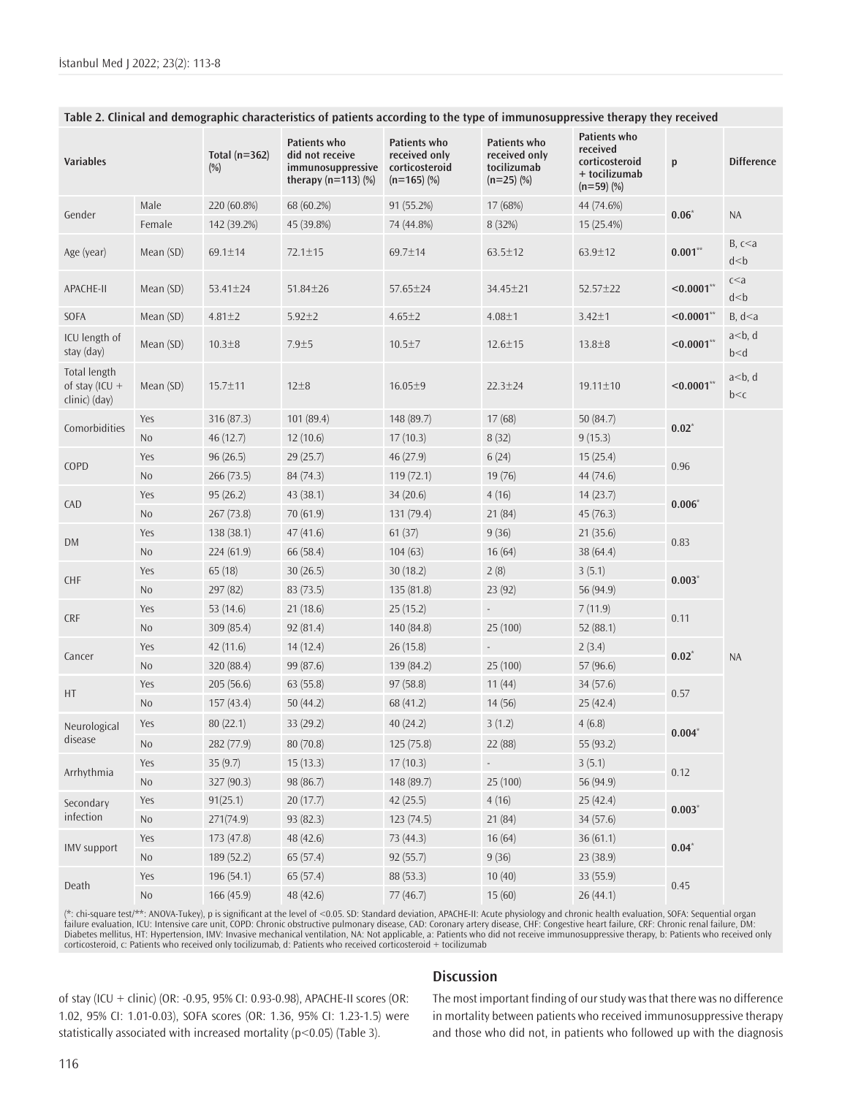| Variables                                         |                | Total ( $n=362$ )<br>$(\%)$ | Patients who<br>did not receive<br>immunosuppressive<br>therapy $(n=113)$ $%$ | Patients who<br>received only<br>corticosteroid<br>$(n=165)$ (%) | Patients who<br>received only<br>tocilizumab<br>$(n=25)$ (%) | Patients who<br>received<br>corticosteroid<br>+ tocilizumab<br>$(n=59)$ (%) | p             | <b>Difference</b>          |
|---------------------------------------------------|----------------|-----------------------------|-------------------------------------------------------------------------------|------------------------------------------------------------------|--------------------------------------------------------------|-----------------------------------------------------------------------------|---------------|----------------------------|
|                                                   | Male           | 220 (60.8%)                 | 68 (60.2%)                                                                    | 91 (55.2%)                                                       | 17 (68%)                                                     | 44 (74.6%)                                                                  |               |                            |
| Gender                                            | Female         | 142 (39.2%)                 | 45 (39.8%)                                                                    | 74 (44.8%)                                                       | 8 (32%)                                                      | 15 (25.4%)                                                                  | $0.06*$       | <b>NA</b>                  |
| Age (year)                                        | Mean (SD)      | 69.1±14                     | $72.1 \pm 15$                                                                 | 69.7±14                                                          | $63.5 \pm 12$                                                | 63.9±12                                                                     | $0.001**$     | B, c < a<br>$d$ $<$ $b$    |
| APACHE-II                                         | Mean (SD)      | $53.41 \pm 24$              | $51.84 \pm 26$                                                                | 57.65±24                                                         | 34.45±21                                                     | $52.57 \pm 22$                                                              | $< 0.0001**$  | c < a<br>$d$ $<$ $b$       |
| SOFA                                              | Mean (SD)      | $4.81 \pm 2$                | $5.92 \pm 2$                                                                  | $4.65 \pm 2$                                                     | $4.08 + 1$                                                   | $3.42 \pm 1$                                                                | $< 0.0001**$  | B, d < a                   |
| ICU length of<br>stay (day)                       | Mean (SD)      | $10.3 + 8$                  | $7.9 + 5$                                                                     | $10.5 \pm 7$                                                     | $12.6 \pm 15$                                                | $13.8 \pm 8$                                                                | $< 0.0001**$  | a < b, d<br>$b$ $\leq$ $d$ |
| Total length<br>of stay (ICU $+$<br>clinic) (day) | Mean (SD)      | 15.7±11                     | $12\pm8$                                                                      | $16.05 \pm 9$                                                    | $22.3 \pm 24$                                                | $19.11 \pm 10$                                                              | $< 0.0001**$  | $a < b$ , d<br>b < c       |
| Comorbidities                                     | Yes            | 316 (87.3)                  | 101 (89.4)                                                                    | 148 (89.7)                                                       | 17(68)                                                       | 50 $(84.7)$                                                                 | $0.02^{\ast}$ | <b>NA</b>                  |
|                                                   | N <sub>o</sub> | 46(12.7)                    | 12(10.6)                                                                      | 17(10.3)                                                         | 8(32)                                                        | 9(15.3)                                                                     |               |                            |
| Yes<br>COPD<br>N <sub>o</sub>                     |                | 96(26.5)                    | 29(25.7)                                                                      | 46(27.9)                                                         | 6(24)                                                        | 15(25.4)                                                                    | 0.96          |                            |
|                                                   |                | 266(73.5)                   | 84 (74.3)                                                                     | 119(72.1)                                                        | 19 (76)                                                      | 44 (74.6)                                                                   |               |                            |
| Yes<br>CAD<br>No                                  |                | 95(26.2)                    | 43 (38.1)                                                                     | 34(20.6)                                                         | 4(16)                                                        | 14(23.7)                                                                    | $0.006*$      |                            |
|                                                   |                | 267(73.8)                   | 70(61.9)                                                                      | 131 (79.4)                                                       | 21(84)                                                       | 45(76.3)                                                                    |               |                            |
|                                                   | Yes            | 138 (38.1)                  | 47(41.6)                                                                      | 61(37)                                                           | 9(36)                                                        | 21(35.6)                                                                    | 0.83          |                            |
| <b>DM</b>                                         | No             | 224(61.9)                   | 66(58.4)                                                                      | 104(63)                                                          | 16(64)                                                       | 38 (64.4)                                                                   |               |                            |
| <b>CHF</b>                                        | Yes            | 65(18)                      | 30(26.5)                                                                      | 30(18.2)                                                         | 2(8)                                                         | 3(5.1)                                                                      | $0.003*$      |                            |
|                                                   | No             | 297 (82)                    | 83(73.5)                                                                      | 135(81.8)                                                        | 23 (92)                                                      | 56 (94.9)                                                                   |               |                            |
| <b>CRF</b>                                        | Yes            | 53 $(14.6)$                 | 21(18.6)                                                                      | 25(15.2)                                                         |                                                              | 7(11.9)                                                                     | 0.11          |                            |
|                                                   | No             | 309 (85.4)                  | 92(81.4)                                                                      | 140 (84.8)                                                       | 25(100)                                                      | 52(88.1)                                                                    |               |                            |
| Cancer                                            | Yes            | 42(11.6)                    | 14(12.4)                                                                      | 26(15.8)                                                         | $\Box$                                                       | 2(3.4)                                                                      | $0.02*$       |                            |
|                                                   | No             | 320 (88.4)                  | 99 (87.6)                                                                     | 139 (84.2)                                                       | 25 (100)                                                     | 57 (96.6)                                                                   |               |                            |
| HT                                                | Yes            | 205(56.6)                   | 63(55.8)                                                                      | 97(58.8)                                                         | 11(44)                                                       | 34(57.6)                                                                    | 0.57          |                            |
|                                                   | N <sub>0</sub> | 157(43.4)                   | 50 $(44.2)$                                                                   | 68 (41.2)                                                        | 14(56)                                                       | 25(42.4)                                                                    |               |                            |
| Neurological                                      | Yes            | 80(22.1)                    | 33(29.2)                                                                      | 40(24.2)                                                         | 3(1.2)                                                       | 4(6.8)                                                                      | $0.004*$      |                            |
| disease                                           | No             | 282 (77.9)                  | 80 (70.8)                                                                     | 125(75.8)                                                        | 22 (88)                                                      | 55 (93.2)                                                                   |               |                            |
|                                                   | Yes            | 35(9.7)                     | 15(13.3)                                                                      | 17(10.3)                                                         | $\overline{\phantom{a}}$                                     | 3(5.1)                                                                      | 0.12          |                            |
| Arrhythmia                                        | $\rm No$       | 327 (90.3)                  | 98 (86.7)                                                                     | 148 (89.7)                                                       | 25 (100)                                                     | 56 (94.9)                                                                   |               |                            |
| Secondary<br>infection                            | Yes            | 91(25.1)                    | 20(17.7)                                                                      | 42(25.5)                                                         | 4(16)                                                        | 25 (42.4)                                                                   | $0.003*$      |                            |
|                                                   | $\rm No$       | 271(74.9)                   | 93 (82.3)                                                                     | 123(74.5)                                                        | 21 (84)                                                      | 34 (57.6)                                                                   |               |                            |
|                                                   | Yes            | 173 (47.8)                  | 48 (42.6)                                                                     | 73 (44.3)                                                        | 16(64)                                                       | 36(61.1)                                                                    | $0.04*$       |                            |
| <b>IMV</b> support                                | $\rm No$       | 189 (52.2)                  | 65(57.4)                                                                      | 92(55.7)                                                         | 9(36)                                                        | 23 (38.9)                                                                   |               |                            |
| Death                                             | Yes            | 196 (54.1)                  | 65(57.4)                                                                      | 88 (53.3)                                                        | 10(40)                                                       | 33 (55.9)                                                                   |               |                            |
|                                                   | $\rm No$       | 166 (45.9)                  | 48 (42.6)                                                                     | 77 (46.7)                                                        | 15(60)                                                       | 26 (44.1)                                                                   | 0.45          |                            |

#### **Table 2. Clinical and demographic characteristics of patients according to the type of immunosuppressive therapy they received**

(\*: chi-square test/\*\*: ANOVA-Tukey), p is significant at the level of <0.05. SD: Standard deviation, APACHE-II: Acute physiology and chronic health evaluation, SOFA: Sequential organ<br>failure evaluation, ICU: Intensive car Diabetes mellitus, HT: Hypertension, IMV: Invasive mechanical ventilation, NA: Not applicable, a: Patients who did not receive immunosuppressive therapy, b: Patients who received only corticosteroid, c: Patients who received only tocilizumab, d: Patients who received corticosteroid + tocilizumab

**Discussion**

of stay (ICU + clinic) (OR: -0.95, 95% CI: 0.93-0.98), APACHE-II scores (OR: 1.02, 95% CI: 1.01-0.03), SOFA scores (OR: 1.36, 95% CI: 1.23-1.5) were statistically associated with increased mortality (p<0.05) (Table 3).

# The most important finding of our study was that there was no difference in mortality between patients who received immunosuppressive therapy and those who did not, in patients who followed up with the diagnosis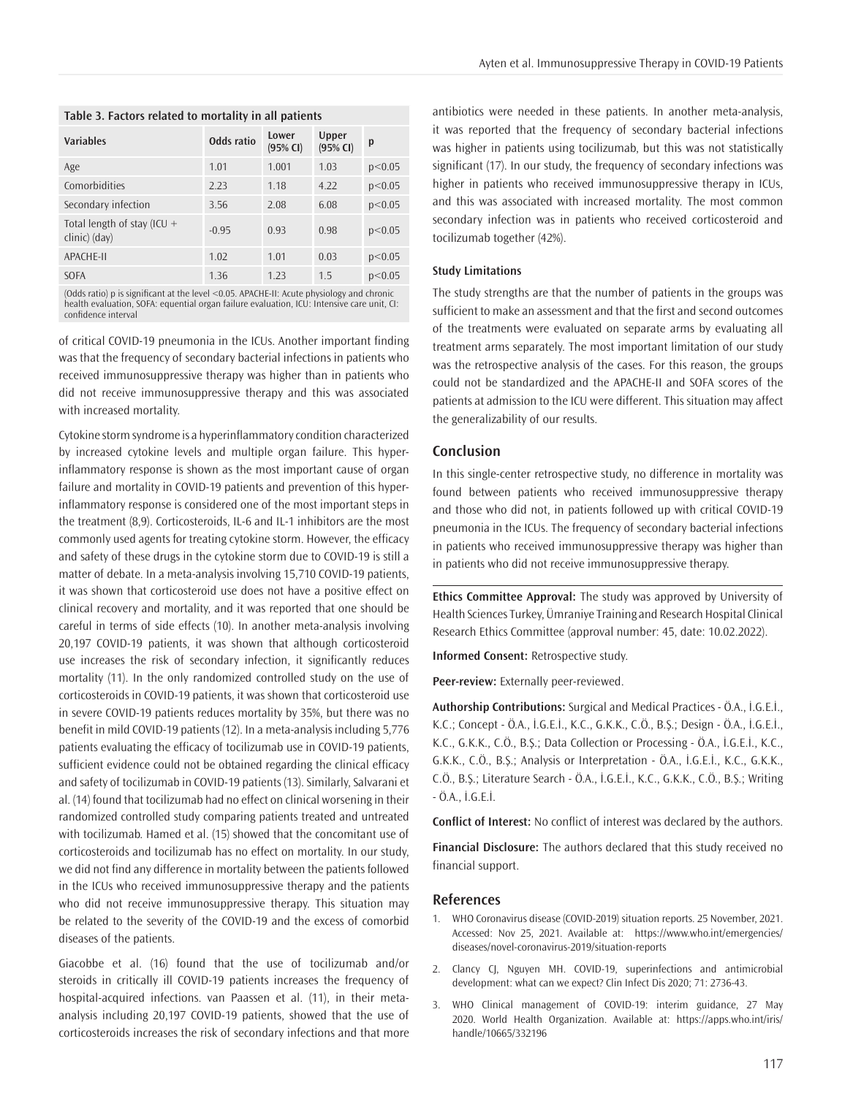| Odds ratio | Lower<br>(95% CI) | Upper<br>$(95%$ CI) | p      |  |  |  |  |
|------------|-------------------|---------------------|--------|--|--|--|--|
| 1.01       | 1.001             | 1.03                | p<0.05 |  |  |  |  |
| 2.23       | 1.18              | 4.22                | p<0.05 |  |  |  |  |
| 3.56       | 2.08              | 6.08                | p<0.05 |  |  |  |  |
| $-0.95$    | 0.93              | 0.98                | p<0.05 |  |  |  |  |
| 1.02       | 1.01              | 0.03                | p<0.05 |  |  |  |  |
| 1.36       | 1.23              | 1.5                 | p<0.05 |  |  |  |  |
|            |                   |                     |        |  |  |  |  |

**Table 3. Factors related to mortality in all patients**

(Odds ratio) p is significant at the level <0.05. APACHE-II: Acute physiology and chronic health evaluation, SOFA: equential organ failure evaluation, ICU: Intensive care unit, CI: confidence interval

of critical COVID-19 pneumonia in the ICUs. Another important finding was that the frequency of secondary bacterial infections in patients who received immunosuppressive therapy was higher than in patients who did not receive immunosuppressive therapy and this was associated with increased mortality.

Cytokine storm syndrome is a hyperinflammatory condition characterized by increased cytokine levels and multiple organ failure. This hyperinflammatory response is shown as the most important cause of organ failure and mortality in COVID-19 patients and prevention of this hyperinflammatory response is considered one of the most important steps in the treatment (8,9). Corticosteroids, IL-6 and IL-1 inhibitors are the most commonly used agents for treating cytokine storm. However, the efficacy and safety of these drugs in the cytokine storm due to COVID-19 is still a matter of debate. In a meta-analysis involving 15,710 COVID-19 patients, it was shown that corticosteroid use does not have a positive effect on clinical recovery and mortality, and it was reported that one should be careful in terms of side effects (10). In another meta-analysis involving 20,197 COVID-19 patients, it was shown that although corticosteroid use increases the risk of secondary infection, it significantly reduces mortality (11). In the only randomized controlled study on the use of corticosteroids in COVID-19 patients, it was shown that corticosteroid use in severe COVID-19 patients reduces mortality by 35%, but there was no benefit in mild COVID-19 patients (12). In a meta-analysis including 5,776 patients evaluating the efficacy of tocilizumab use in COVID-19 patients, sufficient evidence could not be obtained regarding the clinical efficacy and safety of tocilizumab in COVID-19 patients (13). Similarly, Salvarani et al. (14) found that tocilizumab had no effect on clinical worsening in their randomized controlled study comparing patients treated and untreated with tocilizumab. Hamed et al. (15) showed that the concomitant use of corticosteroids and tocilizumab has no effect on mortality. In our study, we did not find any difference in mortality between the patients followed in the ICUs who received immunosuppressive therapy and the patients who did not receive immunosuppressive therapy. This situation may be related to the severity of the COVID-19 and the excess of comorbid diseases of the patients.

Giacobbe et al. (16) found that the use of tocilizumab and/or steroids in critically ill COVID-19 patients increases the frequency of hospital-acquired infections. van Paassen et al. (11), in their metaanalysis including 20,197 COVID-19 patients, showed that the use of corticosteroids increases the risk of secondary infections and that more antibiotics were needed in these patients. In another meta-analysis, it was reported that the frequency of secondary bacterial infections was higher in patients using tocilizumab, but this was not statistically significant (17). In our study, the frequency of secondary infections was higher in patients who received immunosuppressive therapy in ICUs, and this was associated with increased mortality. The most common secondary infection was in patients who received corticosteroid and tocilizumab together (42%).

#### **Study Limitations**

The study strengths are that the number of patients in the groups was sufficient to make an assessment and that the first and second outcomes of the treatments were evaluated on separate arms by evaluating all treatment arms separately. The most important limitation of our study was the retrospective analysis of the cases. For this reason, the groups could not be standardized and the APACHE-II and SOFA scores of the patients at admission to the ICU were different. This situation may affect the generalizability of our results.

## **Conclusion**

In this single-center retrospective study, no difference in mortality was found between patients who received immunosuppressive therapy and those who did not, in patients followed up with critical COVID-19 pneumonia in the ICUs. The frequency of secondary bacterial infections in patients who received immunosuppressive therapy was higher than in patients who did not receive immunosuppressive therapy.

**Ethics Committee Approval:** The study was approved by University of Health Sciences Turkey, Ümraniye Training and Research Hospital Clinical Research Ethics Committee (approval number: 45, date: 10.02.2022).

**Informed Consent:** Retrospective study.

**Peer-review:** Externally peer-reviewed.

**Authorship Contributions:** Surgical and Medical Practices - Ö.A., İ.G.E.İ., K.C.; Concept - Ö.A., İ.G.E.İ., K.C., G.K.K., C.Ö., B.Ş.; Design - Ö.A., İ.G.E.İ., K.C., G.K.K., C.Ö., B.Ş.; Data Collection or Processing - Ö.A., İ.G.E.İ., K.C., G.K.K., C.Ö., B.Ş.; Analysis or Interpretation - Ö.A., İ.G.E.İ., K.C., G.K.K., C.Ö., B.Ş.; Literature Search - Ö.A., İ.G.E.İ., K.C., G.K.K., C.Ö., B.Ş.; Writing - Ö.A., İ.G.E.İ.

**Conflict of Interest:** No conflict of interest was declared by the authors.

**Financial Disclosure:** The authors declared that this study received no financial support.

## **References**

- 1. WHO Coronavirus disease (COVID-2019) situation reports. 25 November, 2021. Accessed: Nov 25, 2021. Available at: https://www.who.int/emergencies/ diseases/novel-coronavirus-2019/situation-reports
- 2. Clancy CJ, Nguyen MH. COVID-19, superinfections and antimicrobial development: what can we expect? Clin Infect Dis 2020; 71: 2736-43.
- 3. WHO Clinical management of COVID-19: interim guidance, 27 May 2020. World Health Organization. Available at: https://apps.who.int/iris/ handle/10665/332196